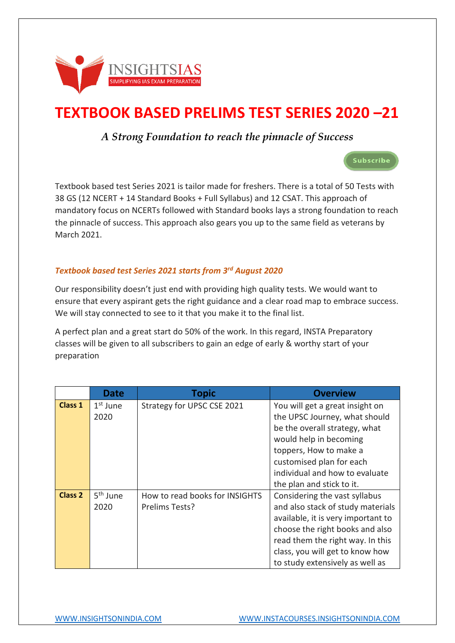

# **TEXTBOOK BASED PRELIMS TEST SERIES 2020 –21**

### *A Strong Foundation to reach the pinnacle of Success*



Textbook based test Series 2021 is tailor made for freshers. There is a total of 50 Tests with 38 GS (12 NCERT + 14 Standard Books + Full Syllabus) and 12 CSAT. This approach of mandatory focus on NCERTs followed with Standard books lays a strong foundation to reach the pinnacle of success. This approach also gears you up to the same field as veterans by March 2021.

#### *Textbook based test Series 2021 starts from 3rd August 2020*

Our responsibility doesn't just end with providing high quality tests. We would want to ensure that every aspirant gets the right guidance and a clear road map to embrace success. We will stay connected to see to it that you make it to the final list.

A perfect plan and a great start do 50% of the work. In this regard, INSTA Preparatory classes will be given to all subscribers to gain an edge of early & worthy start of your preparation

|                | <b>Date</b>          | <b>Topic</b>                   | <b>Overview</b>                    |
|----------------|----------------------|--------------------------------|------------------------------------|
| Class 1        | $1st$ June           | Strategy for UPSC CSE 2021     | You will get a great insight on    |
|                | 2020                 |                                | the UPSC Journey, what should      |
|                |                      |                                | be the overall strategy, what      |
|                |                      |                                | would help in becoming             |
|                |                      |                                | toppers, How to make a             |
|                |                      |                                | customised plan for each           |
|                |                      |                                | individual and how to evaluate     |
|                |                      |                                | the plan and stick to it.          |
| <b>Class 2</b> | 5 <sup>th</sup> June | How to read books for INSIGHTS | Considering the vast syllabus      |
|                | 2020                 | Prelims Tests?                 | and also stack of study materials  |
|                |                      |                                | available, it is very important to |
|                |                      |                                | choose the right books and also    |
|                |                      |                                | read them the right way. In this   |
|                |                      |                                | class, you will get to know how    |
|                |                      |                                | to study extensively as well as    |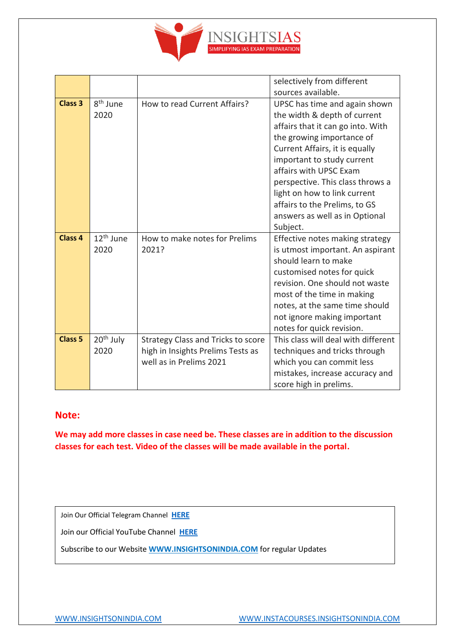

|                    |                       |                                           | selectively from different                                |
|--------------------|-----------------------|-------------------------------------------|-----------------------------------------------------------|
|                    |                       |                                           | sources available.                                        |
| <b>Class 3</b>     | 8 <sup>th</sup> June  | How to read Current Affairs?              | UPSC has time and again shown                             |
|                    | 2020                  |                                           | the width & depth of current                              |
|                    |                       |                                           | affairs that it can go into. With                         |
|                    |                       |                                           | the growing importance of                                 |
|                    |                       |                                           | Current Affairs, it is equally                            |
|                    |                       |                                           | important to study current                                |
|                    |                       |                                           | affairs with UPSC Exam                                    |
|                    |                       |                                           | perspective. This class throws a                          |
|                    |                       |                                           | light on how to link current                              |
|                    |                       |                                           | affairs to the Prelims, to GS                             |
|                    |                       |                                           | answers as well as in Optional                            |
|                    |                       |                                           | Subject.                                                  |
| Class <sub>4</sub> |                       |                                           |                                                           |
|                    | 12 <sup>th</sup> June | How to make notes for Prelims             | Effective notes making strategy                           |
|                    | 2020                  | 2021?                                     | is utmost important. An aspirant                          |
|                    |                       |                                           | should learn to make                                      |
|                    |                       |                                           | customised notes for quick                                |
|                    |                       |                                           | revision. One should not waste                            |
|                    |                       |                                           | most of the time in making                                |
|                    |                       |                                           | notes, at the same time should                            |
|                    |                       |                                           | not ignore making important                               |
|                    |                       |                                           | notes for quick revision.                                 |
| <b>Class 5</b>     | 20 <sup>th</sup> July | <b>Strategy Class and Tricks to score</b> | This class will deal with different                       |
|                    | 2020                  | high in Insights Prelims Tests as         | techniques and tricks through                             |
|                    |                       | well as in Prelims 2021                   | which you can commit less                                 |
|                    |                       |                                           | mistakes, increase accuracy and<br>score high in prelims. |

#### **Note:**

**We may add more classes in case need be. These classes are in addition to the discussion classes for each test. Video of the classes will be made available in the portal.**

Join Our Official Telegram Channel **[HERE](https://t.me/insightsIAStips)**

Join our Official YouTube Channel **[HERE](https://www.youtube.com/channel/UCpoccbCX9GEIwaiIe4HLjwA)**

Subscribe to our Website **[WWW.INSIGHTSONINDIA.COM](http://www.insightsonindia.com/)** for regular Updates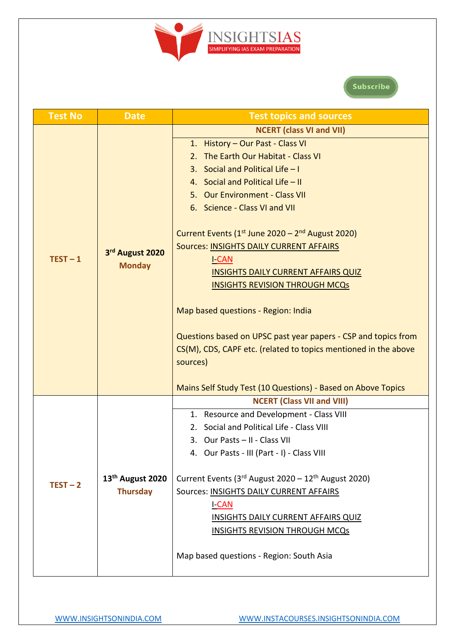

# Subscribe

| <b>Test No</b> | <b>Date</b>                  | <b>Test topics and sources</b>                                  |
|----------------|------------------------------|-----------------------------------------------------------------|
|                |                              | <b>NCERT (class VI and VII)</b>                                 |
|                |                              | 1. History - Our Past - Class VI                                |
|                |                              | 2. The Earth Our Habitat - Class VI                             |
|                |                              | Social and Political Life $-1$<br>3.                            |
|                |                              | 4. Social and Political Life - II                               |
|                |                              | 5. Our Environment - Class VII                                  |
|                |                              | 6. Science - Class VI and VII                                   |
|                |                              | Current Events ( $1st$ June 2020 – $2nd$ August 2020)           |
|                | 3rd August 2020              | <b>Sources: INSIGHTS DAILY CURRENT AFFAIRS</b>                  |
| $TEST-1$       | <b>Monday</b>                | <b>I-CAN</b>                                                    |
|                |                              | <b>INSIGHTS DAILY CURRENT AFFAIRS QUIZ</b>                      |
|                |                              | <b>INSIGHTS REVISION THROUGH MCQs</b>                           |
|                |                              | Map based questions - Region: India                             |
|                |                              | Questions based on UPSC past year papers - CSP and topics from  |
|                |                              | CS(M), CDS, CAPF etc. (related to topics mentioned in the above |
|                |                              | sources)                                                        |
|                |                              | Mains Self Study Test (10 Questions) - Based on Above Topics    |
|                |                              | <b>NCERT (Class VII and VIII)</b>                               |
|                |                              | 1. Resource and Development - Class VIII                        |
|                |                              | Social and Political Life - Class VIII<br>2.                    |
|                |                              | 3. Our Pasts - II - Class VII                                   |
|                |                              | 4. Our Pasts - III (Part - I) - Class VIII                      |
|                | 13 <sup>th</sup> August 2020 | Current Events (3rd August 2020 - 12 <sup>th</sup> August 2020) |
| $TEST-2$       | <b>Thursday</b>              | Sources: INSIGHTS DAILY CURRENT AFFAIRS                         |
|                |                              | <b>I-CAN</b>                                                    |
|                |                              | <b>INSIGHTS DAILY CURRENT AFFAIRS QUIZ</b>                      |
|                |                              | <b>INSIGHTS REVISION THROUGH MCQs</b>                           |
|                |                              | Map based questions - Region: South Asia                        |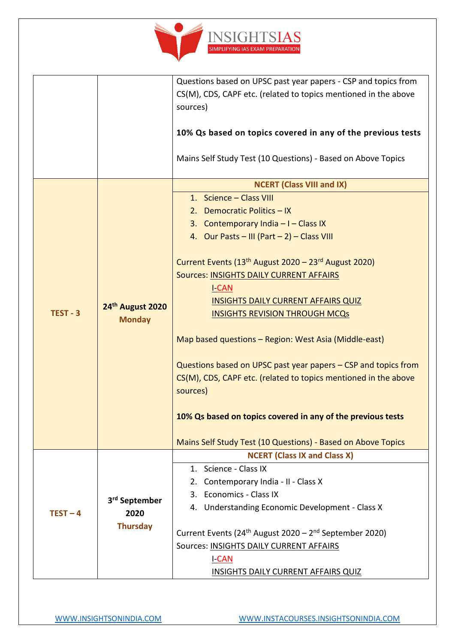

|            |                                   | Questions based on UPSC past year papers - CSP and topics from                 |
|------------|-----------------------------------|--------------------------------------------------------------------------------|
|            |                                   | CS(M), CDS, CAPF etc. (related to topics mentioned in the above                |
|            |                                   | sources)                                                                       |
|            |                                   |                                                                                |
|            |                                   | 10% Qs based on topics covered in any of the previous tests                    |
|            |                                   | Mains Self Study Test (10 Questions) - Based on Above Topics                   |
|            |                                   | <b>NCERT (Class VIII and IX)</b>                                               |
|            |                                   | 1. Science - Class VIII                                                        |
|            |                                   | 2. Democratic Politics - IX                                                    |
|            |                                   | 3. Contemporary India $-1$ - Class IX                                          |
|            |                                   | 4. Our Pasts - III (Part - 2) - Class VIII                                     |
|            |                                   |                                                                                |
|            |                                   | Current Events (13 <sup>th</sup> August 2020 - 23 <sup>rd</sup> August 2020)   |
|            |                                   | Sources: INSIGHTS DAILY CURRENT AFFAIRS                                        |
|            | 24th August 2020<br><b>Monday</b> | <b>I-CAN</b>                                                                   |
|            |                                   | <b>INSIGHTS DAILY CURRENT AFFAIRS QUIZ</b>                                     |
| $TEST - 3$ |                                   | <b>INSIGHTS REVISION THROUGH MCQs</b>                                          |
|            |                                   |                                                                                |
|            |                                   | Map based questions - Region: West Asia (Middle-east)                          |
|            |                                   |                                                                                |
|            |                                   | Questions based on UPSC past year papers - CSP and topics from                 |
|            |                                   | CS(M), CDS, CAPF etc. (related to topics mentioned in the above                |
|            |                                   | sources)                                                                       |
|            |                                   |                                                                                |
|            |                                   | 10% Qs based on topics covered in any of the previous tests                    |
|            |                                   | Mains Self Study Test (10 Questions) - Based on Above Topics                   |
|            |                                   | <b>NCERT (Class IX and Class X)</b>                                            |
|            |                                   | 1. Science - Class IX                                                          |
|            |                                   | 2. Contemporary India - II - Class X                                           |
|            | 3 <sup>rd</sup> September         | 3. Economics - Class IX                                                        |
| $TEST-4$   | 2020                              | 4. Understanding Economic Development - Class X                                |
|            | <b>Thursday</b>                   |                                                                                |
|            |                                   | Current Events (24 <sup>th</sup> August 2020 - 2 <sup>nd</sup> September 2020) |
|            |                                   | Sources: INSIGHTS DAILY CURRENT AFFAIRS                                        |
|            |                                   | <b>I-CAN</b>                                                                   |
|            |                                   | <b>INSIGHTS DAILY CURRENT AFFAIRS QUIZ</b>                                     |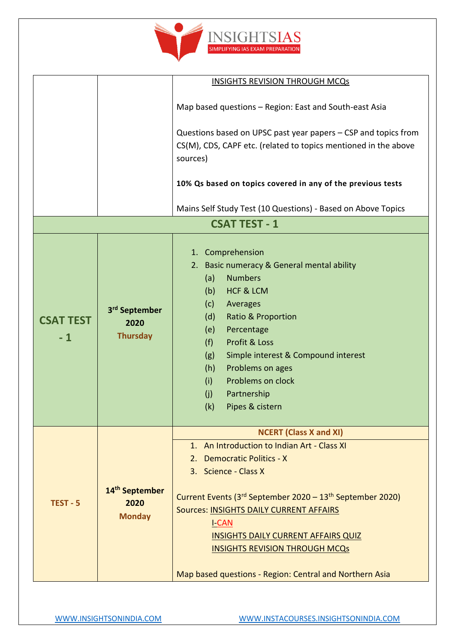

|                          |                                                      | <b>INSIGHTS REVISION THROUGH MCQs</b>                                                                                                                                                                                                                                                                                                                                                                                              |
|--------------------------|------------------------------------------------------|------------------------------------------------------------------------------------------------------------------------------------------------------------------------------------------------------------------------------------------------------------------------------------------------------------------------------------------------------------------------------------------------------------------------------------|
|                          |                                                      | Map based questions - Region: East and South-east Asia                                                                                                                                                                                                                                                                                                                                                                             |
|                          |                                                      | Questions based on UPSC past year papers – CSP and topics from<br>CS(M), CDS, CAPF etc. (related to topics mentioned in the above<br>sources)                                                                                                                                                                                                                                                                                      |
|                          |                                                      | 10% Qs based on topics covered in any of the previous tests                                                                                                                                                                                                                                                                                                                                                                        |
|                          |                                                      | Mains Self Study Test (10 Questions) - Based on Above Topics                                                                                                                                                                                                                                                                                                                                                                       |
|                          |                                                      | <b>CSAT TEST - 1</b>                                                                                                                                                                                                                                                                                                                                                                                                               |
| <b>CSAT TEST</b><br>$-1$ | 3 <sup>rd</sup> September<br>2020<br><b>Thursday</b> | 1. Comprehension<br>2. Basic numeracy & General mental ability<br><b>Numbers</b><br>(a)<br><b>HCF &amp; LCM</b><br>(b)<br>Averages<br>(c)<br><b>Ratio &amp; Proportion</b><br>(d)<br>(e)<br>Percentage<br>(f)<br>Profit & Loss<br>Simple interest & Compound interest<br>(g)<br>Problems on ages<br>(h)<br>Problems on clock<br>(i)<br>(j)<br>Partnership<br>Pipes & cistern<br>(k)                                                |
| $TEST - 5$               | 14 <sup>th</sup> September<br>2020<br><b>Monday</b>  | <b>NCERT (Class X and XI)</b><br>1. An Introduction to Indian Art - Class XI<br><b>Democratic Politics - X</b><br>2.<br>3. Science - Class X<br>Current Events (3rd September 2020 – 13 <sup>th</sup> September 2020)<br>Sources: INSIGHTS DAILY CURRENT AFFAIRS<br><u>I-CAN</u><br><b>INSIGHTS DAILY CURRENT AFFAIRS QUIZ</b><br><b>INSIGHTS REVISION THROUGH MCQs</b><br>Map based questions - Region: Central and Northern Asia |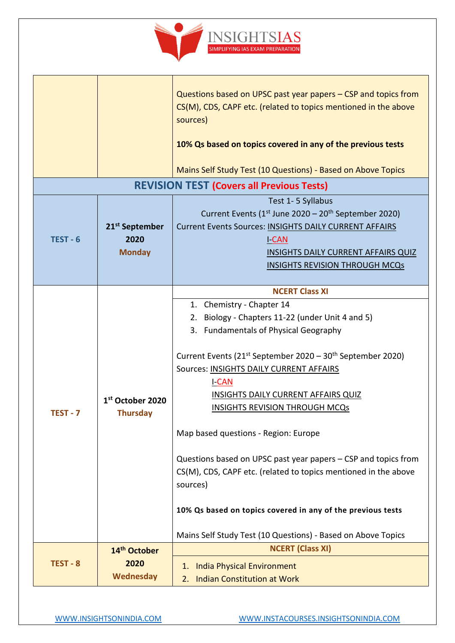

|          |                                                     | Questions based on UPSC past year papers – CSP and topics from<br>CS(M), CDS, CAPF etc. (related to topics mentioned in the above<br>sources)                                                                                                                                                                                                                  |
|----------|-----------------------------------------------------|----------------------------------------------------------------------------------------------------------------------------------------------------------------------------------------------------------------------------------------------------------------------------------------------------------------------------------------------------------------|
|          |                                                     | 10% Qs based on topics covered in any of the previous tests                                                                                                                                                                                                                                                                                                    |
|          |                                                     | Mains Self Study Test (10 Questions) - Based on Above Topics                                                                                                                                                                                                                                                                                                   |
|          |                                                     | <b>REVISION TEST (Covers all Previous Tests)</b>                                                                                                                                                                                                                                                                                                               |
| TEST - 6 | 21 <sup>st</sup> September<br>2020<br><b>Monday</b> | Test 1-5 Syllabus<br>Current Events ( $1st$ June 2020 – 20 <sup>th</sup> September 2020)<br>Current Events Sources: INSIGHTS DAILY CURRENT AFFAIRS<br><u>I CAN</u><br><b>INSIGHTS DAILY CURRENT AFFAIRS QUIZ</b><br><b>INSIGHTS REVISION THROUGH MCQs</b>                                                                                                      |
|          |                                                     | <b>NCERT Class XI</b>                                                                                                                                                                                                                                                                                                                                          |
|          | 1 <sup>st</sup> October 2020                        | 1. Chemistry - Chapter 14<br>2. Biology - Chapters 11-22 (under Unit 4 and 5)<br>3. Fundamentals of Physical Geography<br>Current Events (21 <sup>st</sup> September 2020 – 30 <sup>th</sup> September 2020)<br>Sources: INSIGHTS DAILY CURRENT AFFAIRS<br><u>I-CAN</u><br><b>INSIGHTS DAILY CURRENT AFFAIRS QUIZ</b><br><b>INSIGHTS REVISION THROUGH MCQs</b> |
| TEST - 7 | <b>Thursday</b>                                     | Map based questions - Region: Europe                                                                                                                                                                                                                                                                                                                           |
|          |                                                     | Questions based on UPSC past year papers – CSP and topics from<br>CS(M), CDS, CAPF etc. (related to topics mentioned in the above<br>sources)                                                                                                                                                                                                                  |
|          |                                                     | 10% Qs based on topics covered in any of the previous tests                                                                                                                                                                                                                                                                                                    |
|          |                                                     | Mains Self Study Test (10 Questions) - Based on Above Topics<br><b>NCERT (Class XI)</b>                                                                                                                                                                                                                                                                        |
| TEST - 8 | 14 <sup>th</sup> October<br>2020<br>Wednesday       | <b>India Physical Environment</b><br>1.<br><b>Indian Constitution at Work</b><br>2.                                                                                                                                                                                                                                                                            |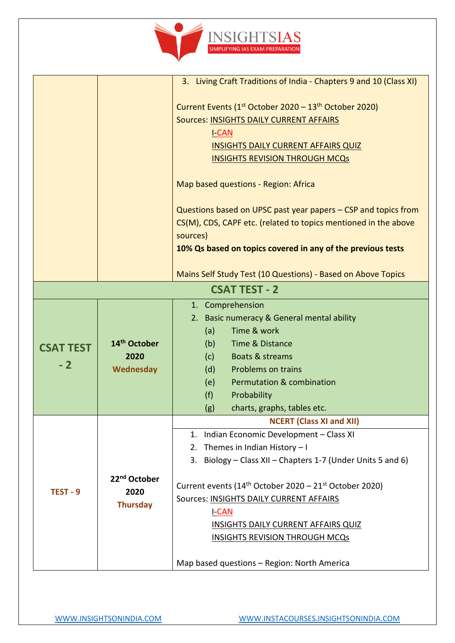

|                  |                          | 3. Living Craft Traditions of India - Chapters 9 and 10 (Class XI)             |
|------------------|--------------------------|--------------------------------------------------------------------------------|
|                  |                          | Current Events (1 <sup>st</sup> October 2020 – 13 <sup>th</sup> October 2020)  |
|                  |                          | Sources: INSIGHTS DAILY CURRENT AFFAIRS                                        |
|                  |                          | <b>I-CAN</b>                                                                   |
|                  |                          | <b>INSIGHTS DAILY CURRENT AFFAIRS QUIZ</b>                                     |
|                  |                          | <b>INSIGHTS REVISION THROUGH MCQs</b>                                          |
|                  |                          |                                                                                |
|                  |                          | Map based questions - Region: Africa                                           |
|                  |                          | Questions based on UPSC past year papers – CSP and topics from                 |
|                  |                          | CS(M), CDS, CAPF etc. (related to topics mentioned in the above                |
|                  |                          | sources)                                                                       |
|                  |                          | 10% Qs based on topics covered in any of the previous tests                    |
|                  |                          |                                                                                |
|                  |                          | Mains Self Study Test (10 Questions) - Based on Above Topics                   |
|                  |                          | <b>CSAT TEST - 2</b>                                                           |
|                  |                          | 1. Comprehension                                                               |
|                  |                          | 2. Basic numeracy & General mental ability                                     |
|                  |                          | Time & work<br>(a)                                                             |
| <b>CSAT TEST</b> | 14 <sup>th</sup> October | Time & Distance<br>(b)                                                         |
| $-2$             | 2020                     | (c)<br>Boats & streams                                                         |
|                  | <b>Wednesday</b>         | Problems on trains<br>(d)                                                      |
|                  |                          | <b>Permutation &amp; combination</b><br>(e)                                    |
|                  |                          | (f)<br>Probability                                                             |
|                  |                          | charts, graphs, tables etc.<br>(g)                                             |
|                  |                          | <b>NCERT (Class XI and XII)</b>                                                |
|                  |                          | Indian Economic Development - Class XI<br>1.                                   |
|                  |                          | Themes in Indian History - I<br>2.                                             |
|                  |                          | Biology – Class XII – Chapters 1-7 (Under Units 5 and 6)<br>3.                 |
|                  | 22 <sup>nd</sup> October | Current events (14 <sup>th</sup> October 2020 - 21 <sup>st</sup> October 2020) |
| TEST - 9         | 2020                     | Sources: INSIGHTS DAILY CURRENT AFFAIRS                                        |
|                  | <b>Thursday</b>          | <b>I-CAN</b>                                                                   |
|                  |                          | <b>INSIGHTS DAILY CURRENT AFFAIRS QUIZ</b>                                     |
|                  |                          | <b>INSIGHTS REVISION THROUGH MCQs</b>                                          |
|                  |                          |                                                                                |
|                  |                          | Map based questions - Region: North America                                    |
|                  |                          |                                                                                |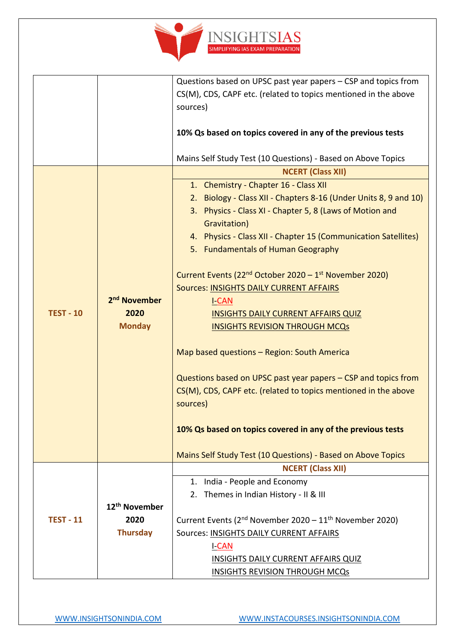

|                  |                           | Questions based on UPSC past year papers - CSP and topics from                  |
|------------------|---------------------------|---------------------------------------------------------------------------------|
|                  |                           | CS(M), CDS, CAPF etc. (related to topics mentioned in the above                 |
|                  |                           | sources)                                                                        |
|                  |                           |                                                                                 |
|                  |                           | 10% Qs based on topics covered in any of the previous tests                     |
|                  |                           |                                                                                 |
|                  |                           | Mains Self Study Test (10 Questions) - Based on Above Topics                    |
|                  |                           | <b>NCERT (Class XII)</b>                                                        |
|                  |                           | 1. Chemistry - Chapter 16 - Class XII                                           |
|                  |                           | 2. Biology - Class XII - Chapters 8-16 (Under Units 8, 9 and 10)                |
|                  |                           | 3. Physics - Class XI - Chapter 5, 8 (Laws of Motion and                        |
|                  |                           | Gravitation)                                                                    |
|                  |                           | 4. Physics - Class XII - Chapter 15 (Communication Satellites)                  |
|                  |                           | 5. Fundamentals of Human Geography                                              |
|                  |                           |                                                                                 |
|                  |                           | Current Events ( $22nd$ October 2020 – 1 <sup>st</sup> November 2020)           |
|                  |                           | <b>Sources: INSIGHTS DAILY CURRENT AFFAIRS</b>                                  |
|                  | 2 <sup>nd</sup> November  | <b>I-CAN</b>                                                                    |
| <b>TEST - 10</b> | 2020                      | <b>INSIGHTS DAILY CURRENT AFFAIRS QUIZ</b>                                      |
|                  | <b>Monday</b>             | <b>INSIGHTS REVISION THROUGH MCQs</b>                                           |
|                  |                           |                                                                                 |
|                  |                           | Map based questions - Region: South America                                     |
|                  |                           | Questions based on UPSC past year papers – CSP and topics from                  |
|                  |                           | CS(M), CDS, CAPF etc. (related to topics mentioned in the above                 |
|                  |                           | sources)                                                                        |
|                  |                           |                                                                                 |
|                  |                           | 10% Qs based on topics covered in any of the previous tests                     |
|                  |                           |                                                                                 |
|                  |                           | Mains Self Study Test (10 Questions) - Based on Above Topics                    |
|                  |                           | <b>NCERT (Class XII)</b>                                                        |
|                  |                           | 1. India - People and Economy                                                   |
|                  |                           | 2. Themes in Indian History - II & III                                          |
|                  | 12 <sup>th</sup> November |                                                                                 |
| <b>TEST - 11</b> | 2020                      | Current Events (2 <sup>nd</sup> November 2020 – 11 <sup>th</sup> November 2020) |
|                  | <b>Thursday</b>           | Sources: INSIGHTS DAILY CURRENT AFFAIRS                                         |
|                  |                           | <b>I-CAN</b>                                                                    |
|                  |                           | <b>INSIGHTS DAILY CURRENT AFFAIRS QUIZ</b>                                      |
|                  |                           | <b>INSIGHTS REVISION THROUGH MCQs</b>                                           |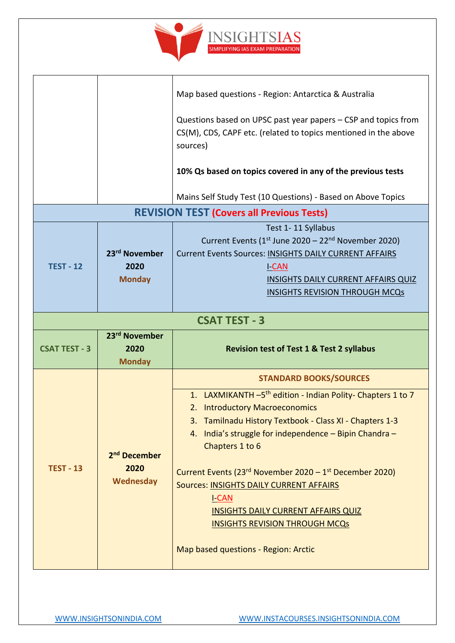

|                                                      | Map based questions - Region: Antarctica & Australia<br>Questions based on UPSC past year papers – CSP and topics from<br>CS(M), CDS, CAPF etc. (related to topics mentioned in the above<br>sources)<br>10% Qs based on topics covered in any of the previous tests                                                                                                                                                                                                                                                                                |  |
|------------------------------------------------------|-----------------------------------------------------------------------------------------------------------------------------------------------------------------------------------------------------------------------------------------------------------------------------------------------------------------------------------------------------------------------------------------------------------------------------------------------------------------------------------------------------------------------------------------------------|--|
|                                                      | Mains Self Study Test (10 Questions) - Based on Above Topics                                                                                                                                                                                                                                                                                                                                                                                                                                                                                        |  |
|                                                      | <b>REVISION TEST (Covers all Previous Tests)</b>                                                                                                                                                                                                                                                                                                                                                                                                                                                                                                    |  |
| 23rd November<br>2020<br><b>Monday</b>               | Test 1-11 Syllabus<br>Current Events ( $1st$ June 2020 – 22 <sup>nd</sup> November 2020)<br>Current Events Sources: INSIGHTS DAILY CURRENT AFFAIRS<br><b>I-CAN</b><br>INSIGHTS DAILY CURRENT AFFAIRS QUIZ<br><b>INSIGHTS REVISION THROUGH MCQs</b>                                                                                                                                                                                                                                                                                                  |  |
| <b>CSAT TEST - 3</b>                                 |                                                                                                                                                                                                                                                                                                                                                                                                                                                                                                                                                     |  |
| 23rd November<br>2020<br><b>Monday</b>               | <b>Revision test of Test 1 &amp; Test 2 syllabus</b>                                                                                                                                                                                                                                                                                                                                                                                                                                                                                                |  |
| 2 <sup>nd</sup> December<br>2020<br><b>Wednesday</b> | <b>STANDARD BOOKS/SOURCES</b><br>1. LAXMIKANTH -5 <sup>th</sup> edition - Indian Polity- Chapters 1 to 7<br>2. Introductory Macroeconomics<br>3. Tamilnadu History Textbook - Class XI - Chapters 1-3<br>4. India's struggle for independence - Bipin Chandra -<br>Chapters 1 to 6<br>Current Events (23rd November 2020 - 1 <sup>st</sup> December 2020)<br>Sources: INSIGHTS DAILY CURRENT AFFAIRS<br><b>I-CAN</b><br><b>INSIGHTS DAILY CURRENT AFFAIRS QUIZ</b><br><b>INSIGHTS REVISION THROUGH MCQs</b><br>Map based questions - Region: Arctic |  |
|                                                      |                                                                                                                                                                                                                                                                                                                                                                                                                                                                                                                                                     |  |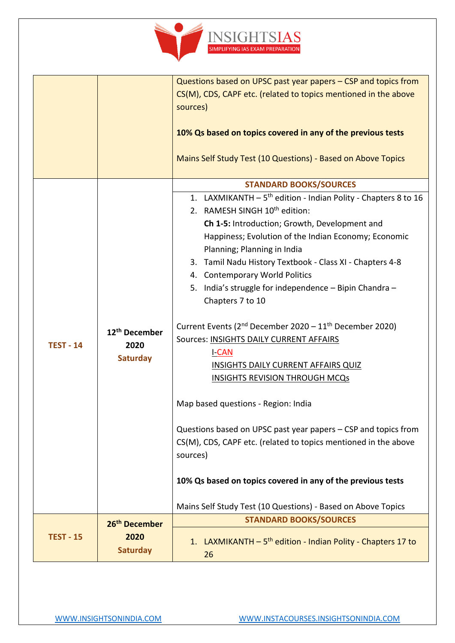

|                  |                                                      | Questions based on UPSC past year papers - CSP and topics from                                                                                                                                                                                                                                                                                                                                                                                                                                                                                                                                                                                                                                                                                                                                                                                                  |
|------------------|------------------------------------------------------|-----------------------------------------------------------------------------------------------------------------------------------------------------------------------------------------------------------------------------------------------------------------------------------------------------------------------------------------------------------------------------------------------------------------------------------------------------------------------------------------------------------------------------------------------------------------------------------------------------------------------------------------------------------------------------------------------------------------------------------------------------------------------------------------------------------------------------------------------------------------|
|                  |                                                      | CS(M), CDS, CAPF etc. (related to topics mentioned in the above<br>sources)                                                                                                                                                                                                                                                                                                                                                                                                                                                                                                                                                                                                                                                                                                                                                                                     |
|                  |                                                      | 10% Qs based on topics covered in any of the previous tests<br>Mains Self Study Test (10 Questions) - Based on Above Topics                                                                                                                                                                                                                                                                                                                                                                                                                                                                                                                                                                                                                                                                                                                                     |
|                  |                                                      | <b>STANDARD BOOKS/SOURCES</b>                                                                                                                                                                                                                                                                                                                                                                                                                                                                                                                                                                                                                                                                                                                                                                                                                                   |
| <b>TEST - 14</b> | 12 <sup>th</sup> December<br>2020<br><b>Saturday</b> | 1. LAXMIKANTH - 5 <sup>th</sup> edition - Indian Polity - Chapters 8 to 16<br>2. RAMESH SINGH 10 <sup>th</sup> edition:<br>Ch 1-5: Introduction; Growth, Development and<br>Happiness; Evolution of the Indian Economy; Economic<br>Planning; Planning in India<br>3. Tamil Nadu History Textbook - Class XI - Chapters 4-8<br>4. Contemporary World Politics<br>India's struggle for independence - Bipin Chandra -<br>5.<br>Chapters 7 to 10<br>Current Events (2 <sup>nd</sup> December 2020 - 11 <sup>th</sup> December 2020)<br>Sources: INSIGHTS DAILY CURRENT AFFAIRS<br><b>I-CAN</b><br><b>INSIGHTS DAILY CURRENT AFFAIRS QUIZ</b><br><b>INSIGHTS REVISION THROUGH MCQs</b><br>Map based questions - Region: India<br>Questions based on UPSC past year papers - CSP and topics from<br>CS(M), CDS, CAPF etc. (related to topics mentioned in the above |
|                  |                                                      | sources)<br>10% Qs based on topics covered in any of the previous tests                                                                                                                                                                                                                                                                                                                                                                                                                                                                                                                                                                                                                                                                                                                                                                                         |
|                  |                                                      | Mains Self Study Test (10 Questions) - Based on Above Topics                                                                                                                                                                                                                                                                                                                                                                                                                                                                                                                                                                                                                                                                                                                                                                                                    |
|                  | 26 <sup>th</sup> December                            | <b>STANDARD BOOKS/SOURCES</b>                                                                                                                                                                                                                                                                                                                                                                                                                                                                                                                                                                                                                                                                                                                                                                                                                                   |
| <b>TEST - 15</b> | 2020<br><b>Saturday</b>                              | 1. LAXMIKANTH - 5 <sup>th</sup> edition - Indian Polity - Chapters 17 to<br>26                                                                                                                                                                                                                                                                                                                                                                                                                                                                                                                                                                                                                                                                                                                                                                                  |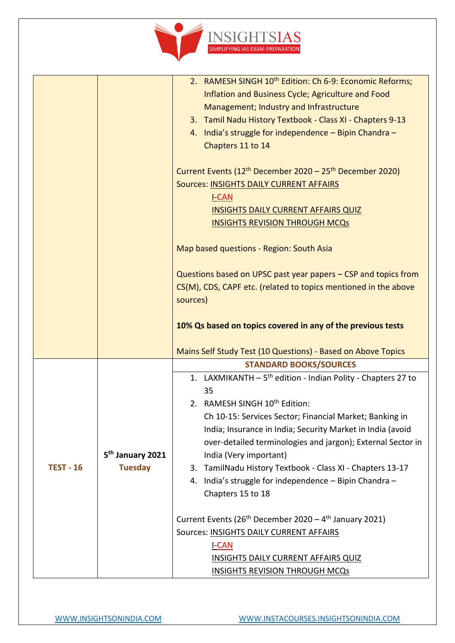

|                  |                              | 2. RAMESH SINGH 10 <sup>th</sup> Edition: Ch 6-9: Economic Reforms;              |
|------------------|------------------------------|----------------------------------------------------------------------------------|
|                  |                              | Inflation and Business Cycle; Agriculture and Food                               |
|                  |                              | Management; Industry and Infrastructure                                          |
|                  |                              | 3. Tamil Nadu History Textbook - Class XI - Chapters 9-13                        |
|                  |                              | 4. India's struggle for independence - Bipin Chandra -                           |
|                  |                              | Chapters 11 to 14                                                                |
|                  |                              |                                                                                  |
|                  |                              | Current Events (12 <sup>th</sup> December 2020 - 25 <sup>th</sup> December 2020) |
|                  |                              | <b>Sources: INSIGHTS DAILY CURRENT AFFAIRS</b>                                   |
|                  |                              | <b>I-CAN</b>                                                                     |
|                  |                              | <b>INSIGHTS DAILY CURRENT AFFAIRS QUIZ</b>                                       |
|                  |                              | <b>INSIGHTS REVISION THROUGH MCQs</b>                                            |
|                  |                              |                                                                                  |
|                  |                              | Map based questions - Region: South Asia                                         |
|                  |                              |                                                                                  |
|                  |                              | Questions based on UPSC past year papers - CSP and topics from                   |
|                  |                              | CS(M), CDS, CAPF etc. (related to topics mentioned in the above                  |
|                  |                              | sources)                                                                         |
|                  |                              |                                                                                  |
|                  |                              | 10% Qs based on topics covered in any of the previous tests                      |
|                  |                              | Mains Self Study Test (10 Questions) - Based on Above Topics                     |
|                  |                              | <b>STANDARD BOOKS/SOURCES</b>                                                    |
|                  |                              | 1. LAXMIKANTH - 5 <sup>th</sup> edition - Indian Polity - Chapters 27 to         |
|                  |                              | 35                                                                               |
|                  |                              | 2. RAMESH SINGH 10 <sup>th</sup> Edition:                                        |
|                  |                              | Ch 10-15: Services Sector; Financial Market; Banking in                          |
|                  |                              | India; Insurance in India; Security Market in India (avoid                       |
|                  |                              | over-detailed terminologies and jargon); External Sector in                      |
|                  | 5 <sup>th</sup> January 2021 | India (Very important)                                                           |
| <b>TEST - 16</b> | <b>Tuesday</b>               | TamilNadu History Textbook - Class XI - Chapters 13-17<br>3.                     |
|                  |                              | 4. India's struggle for independence - Bipin Chandra -                           |
|                  |                              | Chapters 15 to 18                                                                |
|                  |                              |                                                                                  |
|                  |                              | Current Events (26 <sup>th</sup> December 2020 - 4 <sup>th</sup> January 2021)   |
|                  |                              | Sources: INSIGHTS DAILY CURRENT AFFAIRS                                          |
|                  |                              | <b>I-CAN</b>                                                                     |
|                  |                              | <b>INSIGHTS DAILY CURRENT AFFAIRS QUIZ</b>                                       |
|                  |                              | <b>INSIGHTS REVISION THROUGH MCQs</b>                                            |
|                  |                              |                                                                                  |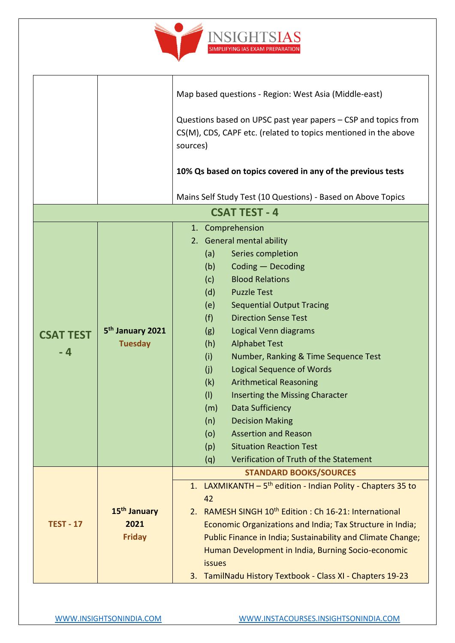

|                  |                                                | Map based questions - Region: West Asia (Middle-east)                                                                                         |
|------------------|------------------------------------------------|-----------------------------------------------------------------------------------------------------------------------------------------------|
|                  |                                                | Questions based on UPSC past year papers – CSP and topics from<br>CS(M), CDS, CAPF etc. (related to topics mentioned in the above<br>sources) |
|                  |                                                | 10% Qs based on topics covered in any of the previous tests                                                                                   |
|                  |                                                | Mains Self Study Test (10 Questions) - Based on Above Topics                                                                                  |
|                  |                                                | <b>CSAT TEST - 4</b>                                                                                                                          |
|                  |                                                | 1. Comprehension                                                                                                                              |
|                  |                                                | 2. General mental ability                                                                                                                     |
|                  |                                                | Series completion<br>(a)                                                                                                                      |
|                  |                                                | Coding - Decoding<br>(b)                                                                                                                      |
|                  |                                                | <b>Blood Relations</b><br>(c)                                                                                                                 |
|                  |                                                | <b>Puzzle Test</b><br>(d)                                                                                                                     |
|                  |                                                | <b>Sequential Output Tracing</b><br>(e)                                                                                                       |
|                  | 5 <sup>th</sup> January 2021<br><b>Tuesday</b> | (f)<br><b>Direction Sense Test</b>                                                                                                            |
| <b>CSAT TEST</b> |                                                | Logical Venn diagrams<br>(g)                                                                                                                  |
|                  |                                                | (h)<br><b>Alphabet Test</b>                                                                                                                   |
| $-4$             |                                                | (i)<br>Number, Ranking & Time Sequence Test                                                                                                   |
|                  |                                                | (j)<br><b>Logical Sequence of Words</b>                                                                                                       |
|                  |                                                | <b>Arithmetical Reasoning</b><br>(k)                                                                                                          |
|                  |                                                | (1)<br>Inserting the Missing Character                                                                                                        |
|                  |                                                | Data Sufficiency<br>(m)                                                                                                                       |
|                  |                                                | (n)<br><b>Decision Making</b>                                                                                                                 |
|                  |                                                | <b>Assertion and Reason</b><br>(o)                                                                                                            |
|                  |                                                | <b>Situation Reaction Test</b><br>(p)                                                                                                         |
|                  |                                                | Verification of Truth of the Statement<br>(q)                                                                                                 |
|                  |                                                | <b>STANDARD BOOKS/SOURCES</b>                                                                                                                 |
|                  |                                                | 1. LAXMIKANTH - 5 <sup>th</sup> edition - Indian Polity - Chapters 35 to                                                                      |
|                  |                                                | 42                                                                                                                                            |
|                  | 15 <sup>th</sup> January                       | 2. RAMESH SINGH 10 <sup>th</sup> Edition : Ch 16-21: International                                                                            |
| <b>TEST - 17</b> | 2021                                           | Economic Organizations and India; Tax Structure in India;                                                                                     |
|                  | <b>Friday</b>                                  | Public Finance in India; Sustainability and Climate Change;                                                                                   |
|                  |                                                | Human Development in India, Burning Socio-economic                                                                                            |
|                  |                                                | <b>issues</b>                                                                                                                                 |
|                  |                                                | TamilNadu History Textbook - Class XI - Chapters 19-23<br>3.                                                                                  |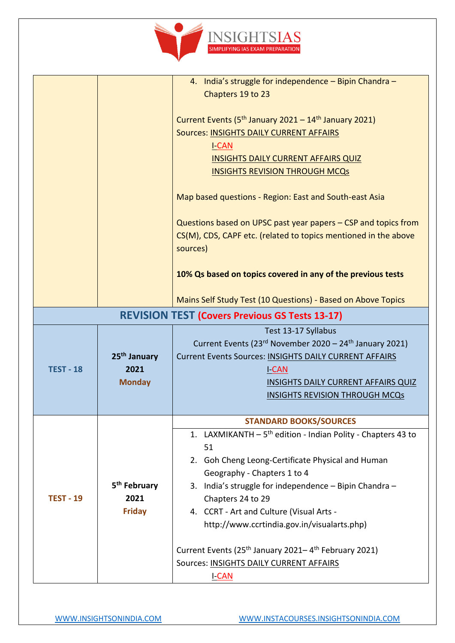

|                                                       |                          | 4. India's struggle for independence - Bipin Chandra -                        |
|-------------------------------------------------------|--------------------------|-------------------------------------------------------------------------------|
|                                                       |                          |                                                                               |
|                                                       |                          | Chapters 19 to 23                                                             |
|                                                       |                          |                                                                               |
|                                                       |                          | Current Events (5 <sup>th</sup> January 2021 – 14 <sup>th</sup> January 2021) |
|                                                       |                          | <b>Sources: INSIGHTS DAILY CURRENT AFFAIRS</b>                                |
|                                                       |                          | <u>I-CAN</u>                                                                  |
|                                                       |                          | <b>INSIGHTS DAILY CURRENT AFFAIRS QUIZ</b>                                    |
|                                                       |                          | <b>INSIGHTS REVISION THROUGH MCQs</b>                                         |
|                                                       |                          |                                                                               |
|                                                       |                          | Map based questions - Region: East and South-east Asia                        |
|                                                       |                          | Questions based on UPSC past year papers – CSP and topics from                |
|                                                       |                          | CS(M), CDS, CAPF etc. (related to topics mentioned in the above               |
|                                                       |                          |                                                                               |
|                                                       |                          | sources)                                                                      |
|                                                       |                          |                                                                               |
|                                                       |                          | 10% Qs based on topics covered in any of the previous tests                   |
|                                                       |                          |                                                                               |
|                                                       |                          | Mains Self Study Test (10 Questions) - Based on Above Topics                  |
| <b>REVISION TEST (Covers Previous GS Tests 13-17)</b> |                          |                                                                               |
|                                                       |                          | Test 13-17 Syllabus                                                           |
|                                                       |                          | Current Events (23rd November 2020 - 24 <sup>th</sup> January 2021)           |
|                                                       | 25 <sup>th</sup> January | Current Events Sources: INSIGHTS DAILY CURRENT AFFAIRS                        |
| <b>TEST - 18</b>                                      | 2021                     | <b>I-CAN</b>                                                                  |
|                                                       | <b>Monday</b>            | <b>INSIGHTS DAILY CURRENT AFFAIRS QUIZ</b>                                    |
|                                                       |                          | <b>INSIGHTS REVISION THROUGH MCQs</b>                                         |
|                                                       |                          |                                                                               |
|                                                       |                          |                                                                               |
|                                                       |                          | <b>STANDARD BOOKS/SOURCES</b>                                                 |
|                                                       |                          | 1. LAXMIKANTH - 5 <sup>th</sup> edition - Indian Polity - Chapters 43 to      |
|                                                       |                          | 51                                                                            |
|                                                       |                          | 2. Goh Cheng Leong-Certificate Physical and Human                             |
|                                                       |                          | Geography - Chapters 1 to 4                                                   |
|                                                       | 5 <sup>th</sup> February | 3. India's struggle for independence - Bipin Chandra -                        |
| <b>TEST - 19</b>                                      | 2021                     | Chapters 24 to 29                                                             |
|                                                       | <b>Friday</b>            | 4. CCRT - Art and Culture (Visual Arts -                                      |
|                                                       |                          | http://www.ccrtindia.gov.in/visualarts.php)                                   |
|                                                       |                          |                                                                               |
|                                                       |                          | Current Events (25 <sup>th</sup> January 2021–4 <sup>th</sup> February 2021)  |
|                                                       |                          |                                                                               |
|                                                       |                          | Sources: INSIGHTS DAILY CURRENT AFFAIRS                                       |
|                                                       |                          | <u>I-CAN</u>                                                                  |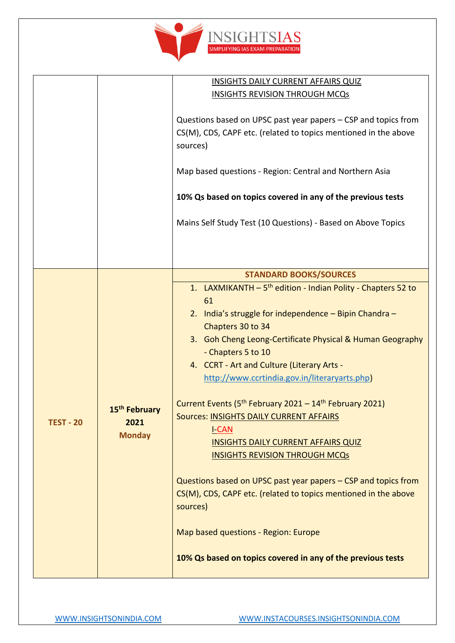

|                  |                                                    | <b>INSIGHTS DAILY CURRENT AFFAIRS QUIZ</b>                                                                                                                                                                                                                                                                                                                                                                                                                                                                                                                                                                                                                                                                                                                                                                                                   |
|------------------|----------------------------------------------------|----------------------------------------------------------------------------------------------------------------------------------------------------------------------------------------------------------------------------------------------------------------------------------------------------------------------------------------------------------------------------------------------------------------------------------------------------------------------------------------------------------------------------------------------------------------------------------------------------------------------------------------------------------------------------------------------------------------------------------------------------------------------------------------------------------------------------------------------|
|                  |                                                    | <b>INSIGHTS REVISION THROUGH MCQs</b>                                                                                                                                                                                                                                                                                                                                                                                                                                                                                                                                                                                                                                                                                                                                                                                                        |
|                  |                                                    | Questions based on UPSC past year papers - CSP and topics from<br>CS(M), CDS, CAPF etc. (related to topics mentioned in the above<br>sources)<br>Map based questions - Region: Central and Northern Asia<br>10% Qs based on topics covered in any of the previous tests<br>Mains Self Study Test (10 Questions) - Based on Above Topics                                                                                                                                                                                                                                                                                                                                                                                                                                                                                                      |
|                  |                                                    | <b>STANDARD BOOKS/SOURCES</b>                                                                                                                                                                                                                                                                                                                                                                                                                                                                                                                                                                                                                                                                                                                                                                                                                |
| <b>TEST - 20</b> | 15 <sup>th</sup> February<br>2021<br><b>Monday</b> | 1. LAXMIKANTH - 5 <sup>th</sup> edition - Indian Polity - Chapters 52 to<br>61<br>2. India's struggle for independence - Bipin Chandra -<br>Chapters 30 to 34<br>3. Goh Cheng Leong-Certificate Physical & Human Geography<br>- Chapters 5 to 10<br>4. CCRT - Art and Culture (Literary Arts -<br>http://www.ccrtindia.gov.in/literaryarts.php)<br>Current Events (5 <sup>th</sup> February 2021 - 14 <sup>th</sup> February 2021)<br>Sources: INSIGHTS DAILY CURRENT AFFAIRS<br><b>I-CAN</b><br><b>INSIGHTS DAILY CURRENT AFFAIRS QUIZ</b><br><b>INSIGHTS REVISION THROUGH MCQs</b><br>Questions based on UPSC past year papers – CSP and topics from<br>CS(M), CDS, CAPF etc. (related to topics mentioned in the above<br>sources)<br>Map based questions - Region: Europe<br>10% Qs based on topics covered in any of the previous tests |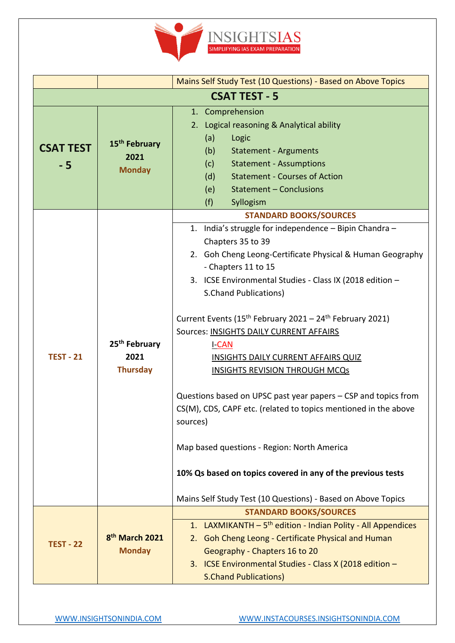

|                          |                                                      | Mains Self Study Test (10 Questions) - Based on Above Topics                                                                                                                                                                                                                                                                                                                                                                                                                                                                                                                                                                                                                                                                                                                                                                                                      |
|--------------------------|------------------------------------------------------|-------------------------------------------------------------------------------------------------------------------------------------------------------------------------------------------------------------------------------------------------------------------------------------------------------------------------------------------------------------------------------------------------------------------------------------------------------------------------------------------------------------------------------------------------------------------------------------------------------------------------------------------------------------------------------------------------------------------------------------------------------------------------------------------------------------------------------------------------------------------|
|                          |                                                      | <b>CSAT TEST - 5</b>                                                                                                                                                                                                                                                                                                                                                                                                                                                                                                                                                                                                                                                                                                                                                                                                                                              |
| <b>CSAT TEST</b><br>$-5$ | 15 <sup>th</sup> February<br>2021<br><b>Monday</b>   | 1. Comprehension<br>2. Logical reasoning & Analytical ability<br>(a)<br>Logic<br>(b)<br><b>Statement - Arguments</b><br>(c)<br><b>Statement - Assumptions</b><br><b>Statement - Courses of Action</b><br>(d)<br>(e)<br><b>Statement - Conclusions</b><br>(f)<br>Syllogism                                                                                                                                                                                                                                                                                                                                                                                                                                                                                                                                                                                         |
| <b>TEST - 21</b>         | 25 <sup>th</sup> February<br>2021<br><b>Thursday</b> | <b>STANDARD BOOKS/SOURCES</b><br>1. India's struggle for independence - Bipin Chandra -<br>Chapters 35 to 39<br>2. Goh Cheng Leong-Certificate Physical & Human Geography<br>- Chapters 11 to 15<br>3. ICSE Environmental Studies - Class IX (2018 edition -<br><b>S.Chand Publications)</b><br>Current Events (15 <sup>th</sup> February 2021 - 24 <sup>th</sup> February 2021)<br>Sources: INSIGHTS DAILY CURRENT AFFAIRS<br><b>I-CAN</b><br><b>INSIGHTS DAILY CURRENT AFFAIRS QUIZ</b><br><b>INSIGHTS REVISION THROUGH MCQs</b><br>Questions based on UPSC past year papers - CSP and topics from<br>CS(M), CDS, CAPF etc. (related to topics mentioned in the above<br>sources)<br>Map based questions - Region: North America<br>10% Qs based on topics covered in any of the previous tests<br>Mains Self Study Test (10 Questions) - Based on Above Topics |
| <b>TEST - 22</b>         | 8 <sup>th</sup> March 2021<br><b>Monday</b>          | <b>STANDARD BOOKS/SOURCES</b><br>1. LAXMIKANTH - 5 <sup>th</sup> edition - Indian Polity - All Appendices<br>2. Goh Cheng Leong - Certificate Physical and Human<br>Geography - Chapters 16 to 20<br>3. ICSE Environmental Studies - Class X (2018 edition -<br><b>S.Chand Publications)</b>                                                                                                                                                                                                                                                                                                                                                                                                                                                                                                                                                                      |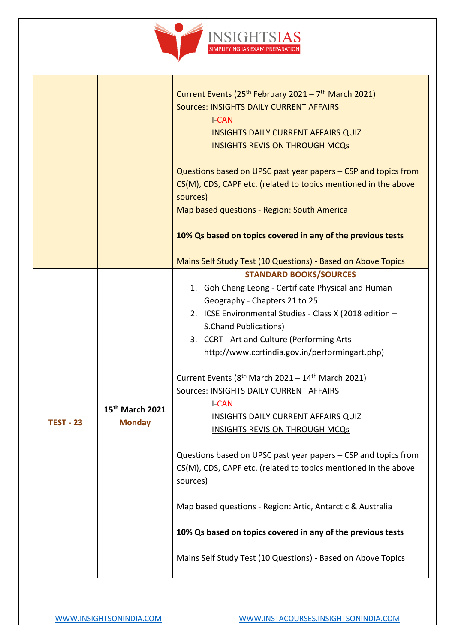

|                  |                                              | Current Events (25 <sup>th</sup> February 2021 - 7 <sup>th</sup> March 2021)<br>Sources: INSIGHTS DAILY CURRENT AFFAIRS<br><b>I-CAN</b><br><b>INSIGHTS DAILY CURRENT AFFAIRS QUIZ</b><br><b>INSIGHTS REVISION THROUGH MCQs</b><br>Questions based on UPSC past year papers - CSP and topics from<br>CS(M), CDS, CAPF etc. (related to topics mentioned in the above<br>sources)<br>Map based questions - Region: South America<br>10% Qs based on topics covered in any of the previous tests<br>Mains Self Study Test (10 Questions) - Based on Above Topics                                                                                |
|------------------|----------------------------------------------|----------------------------------------------------------------------------------------------------------------------------------------------------------------------------------------------------------------------------------------------------------------------------------------------------------------------------------------------------------------------------------------------------------------------------------------------------------------------------------------------------------------------------------------------------------------------------------------------------------------------------------------------|
|                  |                                              | <b>STANDARD BOOKS/SOURCES</b>                                                                                                                                                                                                                                                                                                                                                                                                                                                                                                                                                                                                                |
| <b>TEST - 23</b> | 15 <sup>th</sup> March 2021<br><b>Monday</b> | 1. Goh Cheng Leong - Certificate Physical and Human<br>Geography - Chapters 21 to 25<br>2. ICSE Environmental Studies - Class X (2018 edition -<br><b>S.Chand Publications)</b><br>3. CCRT - Art and Culture (Performing Arts -<br>http://www.ccrtindia.gov.in/performingart.php)<br>Current Events ( $8th$ March 2021 – 14 <sup>th</sup> March 2021)<br>Sources: INSIGHTS DAILY CURRENT AFFAIRS<br><b>I-CAN</b><br><b>INSIGHTS DAILY CURRENT AFFAIRS QUIZ</b><br><b>INSIGHTS REVISION THROUGH MCQs</b><br>Questions based on UPSC past year papers - CSP and topics from<br>CS(M), CDS, CAPF etc. (related to topics mentioned in the above |
|                  |                                              | sources)                                                                                                                                                                                                                                                                                                                                                                                                                                                                                                                                                                                                                                     |
|                  |                                              | Map based questions - Region: Artic, Antarctic & Australia                                                                                                                                                                                                                                                                                                                                                                                                                                                                                                                                                                                   |
|                  |                                              | 10% Qs based on topics covered in any of the previous tests                                                                                                                                                                                                                                                                                                                                                                                                                                                                                                                                                                                  |
|                  |                                              | Mains Self Study Test (10 Questions) - Based on Above Topics                                                                                                                                                                                                                                                                                                                                                                                                                                                                                                                                                                                 |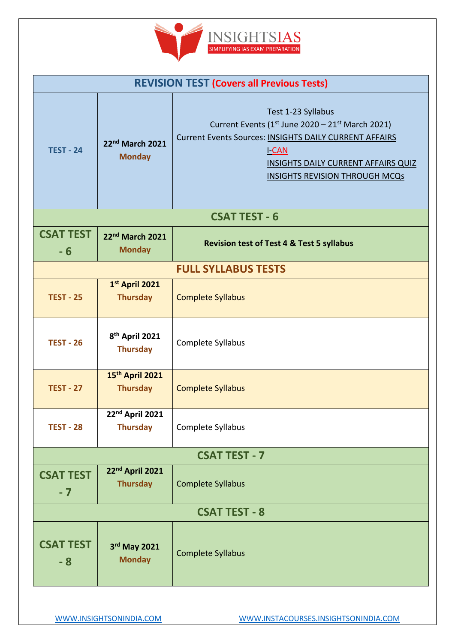

| <b>REVISION TEST (Covers all Previous Tests)</b> |                                                |                                                                                                                                                                                                                                                                 |
|--------------------------------------------------|------------------------------------------------|-----------------------------------------------------------------------------------------------------------------------------------------------------------------------------------------------------------------------------------------------------------------|
| <b>TEST - 24</b>                                 | 22nd March 2021<br><b>Monday</b>               | Test 1-23 Syllabus<br>Current Events (1 <sup>st</sup> June 2020 - 21 <sup>st</sup> March 2021)<br>Current Events Sources: INSIGHTS DAILY CURRENT AFFAIRS<br><u>I-CAN</u><br><b>INSIGHTS DAILY CURRENT AFFAIRS QUIZ</b><br><b>INSIGHTS REVISION THROUGH MCQs</b> |
|                                                  |                                                | <b>CSAT TEST - 6</b>                                                                                                                                                                                                                                            |
| <b>CSAT TEST</b><br>$-6$                         | 22nd March 2021<br><b>Monday</b>               | <b>Revision test of Test 4 &amp; Test 5 syllabus</b>                                                                                                                                                                                                            |
| <b>FULL SYLLABUS TESTS</b>                       |                                                |                                                                                                                                                                                                                                                                 |
| <b>TEST - 25</b>                                 | 1st April 2021<br><b>Thursday</b>              | <b>Complete Syllabus</b>                                                                                                                                                                                                                                        |
| <b>TEST - 26</b>                                 | 8 <sup>th</sup> April 2021<br><b>Thursday</b>  | Complete Syllabus                                                                                                                                                                                                                                               |
| <b>TEST - 27</b>                                 | 15th April 2021<br><b>Thursday</b>             | <b>Complete Syllabus</b>                                                                                                                                                                                                                                        |
| <b>TEST - 28</b>                                 | 22nd April 2021<br><b>Thursday</b>             | Complete Syllabus                                                                                                                                                                                                                                               |
| <b>CSAT TEST - 7</b>                             |                                                |                                                                                                                                                                                                                                                                 |
| <b>CSAT TEST</b><br>$-7$                         | 22 <sup>nd</sup> April 2021<br><b>Thursday</b> | <b>Complete Syllabus</b>                                                                                                                                                                                                                                        |
| <b>CSAT TEST - 8</b>                             |                                                |                                                                                                                                                                                                                                                                 |
| <b>CSAT TEST</b><br>- 8                          | 3rd May 2021<br><b>Monday</b>                  | <b>Complete Syllabus</b>                                                                                                                                                                                                                                        |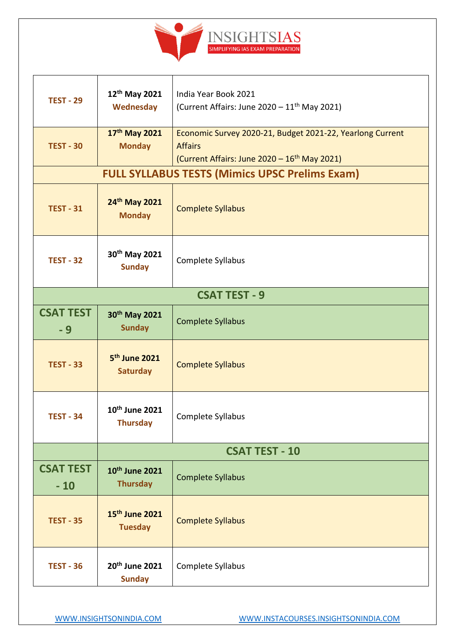

| <b>TEST - 29</b>          | 12 <sup>th</sup> May 2021<br><b>Wednesday</b> | India Year Book 2021<br>(Current Affairs: June 2020 - 11 <sup>th</sup> May 2021)                                                        |
|---------------------------|-----------------------------------------------|-----------------------------------------------------------------------------------------------------------------------------------------|
| <b>TEST - 30</b>          | 17th May 2021<br><b>Monday</b>                | Economic Survey 2020-21, Budget 2021-22, Yearlong Current<br><b>Affairs</b><br>(Current Affairs: June 2020 - 16 <sup>th</sup> May 2021) |
|                           |                                               | <b>FULL SYLLABUS TESTS (Mimics UPSC Prelims Exam)</b>                                                                                   |
| <b>TEST - 31</b>          | 24th May 2021<br><b>Monday</b>                | <b>Complete Syllabus</b>                                                                                                                |
| <b>TEST - 32</b>          | 30th May 2021<br><b>Sunday</b>                | Complete Syllabus                                                                                                                       |
| <b>CSAT TEST - 9</b>      |                                               |                                                                                                                                         |
| <b>CSAT TEST</b><br>- 9   | 30th May 2021<br><b>Sunday</b>                | <b>Complete Syllabus</b>                                                                                                                |
| <b>TEST - 33</b>          | 5 <sup>th</sup> June 2021<br><b>Saturday</b>  | <b>Complete Syllabus</b>                                                                                                                |
| <b>TEST - 34</b>          | 10 <sup>th</sup> June 2021<br><b>Thursday</b> | Complete Syllabus                                                                                                                       |
| <b>CSAT TEST - 10</b>     |                                               |                                                                                                                                         |
| <b>CSAT TEST</b><br>$-10$ | 10 <sup>th</sup> June 2021<br><b>Thursday</b> | <b>Complete Syllabus</b>                                                                                                                |
| <b>TEST - 35</b>          | 15 <sup>th</sup> June 2021<br><b>Tuesday</b>  | <b>Complete Syllabus</b>                                                                                                                |
| <b>TEST - 36</b>          | 20 <sup>th</sup> June 2021<br><b>Sunday</b>   | Complete Syllabus                                                                                                                       |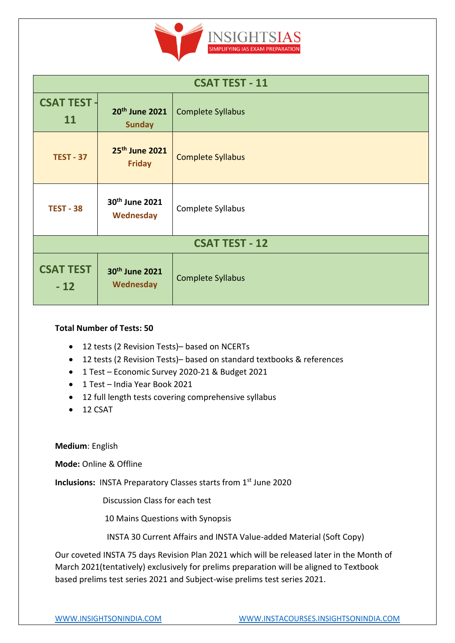

| <b>CSAT TEST - 11</b>     |                                             |                          |
|---------------------------|---------------------------------------------|--------------------------|
| <b>CSAT TEST -</b><br>11  | 20 <sup>th</sup> June 2021<br><b>Sunday</b> | <b>Complete Syllabus</b> |
| <b>TEST - 37</b>          | 25th June 2021<br><b>Friday</b>             | <b>Complete Syllabus</b> |
| <b>TEST - 38</b>          | 30th June 2021<br>Wednesday                 | Complete Syllabus        |
| <b>CSAT TEST - 12</b>     |                                             |                          |
| <b>CSAT TEST</b><br>$-12$ | 30 <sup>th</sup> June 2021<br>Wednesday     | Complete Syllabus        |

#### **Total Number of Tests: 50**

- 12 tests (2 Revision Tests)– based on NCERTs
- 12 tests (2 Revision Tests)– based on standard textbooks & references
- 1 Test Economic Survey 2020-21 & Budget 2021
- 1 Test India Year Book 2021
- 12 full length tests covering comprehensive syllabus
- $\bullet$  12 CSAT

**Medium**: English

**Mode:** Online & Offline

**Inclusions:** INSTA Preparatory Classes starts from 1<sup>st</sup> June 2020

Discussion Class for each test

10 Mains Questions with Synopsis

INSTA 30 Current Affairs and INSTA Value-added Material (Soft Copy)

Our coveted INSTA 75 days Revision Plan 2021 which will be released later in the Month of March 2021(tentatively) exclusively for prelims preparation will be aligned to Textbook based prelims test series 2021 and Subject-wise prelims test series 2021.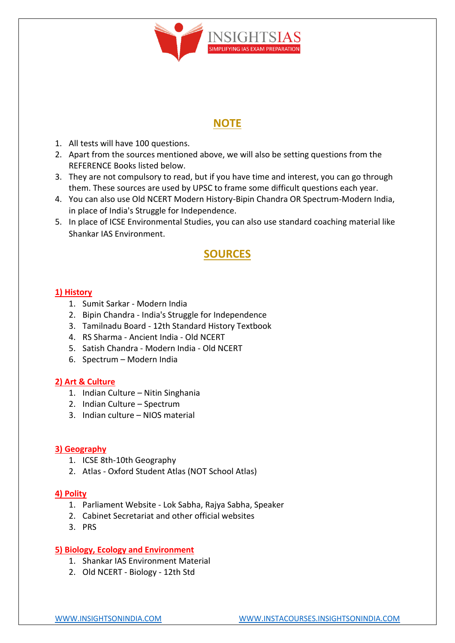

### **NOTE**

- 1. All tests will have 100 questions.
- 2. Apart from the sources mentioned above, we will also be setting questions from the REFERENCE Books listed below.
- 3. They are not compulsory to read, but if you have time and interest, you can go through them. These sources are used by UPSC to frame some difficult questions each year.
- 4. You can also use Old NCERT Modern History-Bipin Chandra OR Spectrum-Modern India, in place of India's Struggle for Independence.
- 5. In place of ICSE Environmental Studies, you can also use standard coaching material like Shankar IAS Environment.

## **SOURCES**

#### **1) History**

- 1. Sumit Sarkar Modern India
- 2. Bipin Chandra India's Struggle for Independence
- 3. Tamilnadu Board 12th Standard History Textbook
- 4. RS Sharma Ancient India Old NCERT
- 5. Satish Chandra Modern India Old NCERT
- 6. Spectrum Modern India

#### **2) Art & Culture**

- 1. Indian Culture Nitin Singhania
- 2. Indian Culture Spectrum
- 3. Indian culture NIOS material

#### **3) Geography**

- 1. ICSE 8th-10th Geography
- 2. Atlas Oxford Student Atlas (NOT School Atlas)

#### **4) Polity**

- 1. Parliament Website Lok Sabha, Rajya Sabha, Speaker
- 2. Cabinet Secretariat and other official websites
- 3. PRS

#### **5) Biology, Ecology and Environment**

- 1. Shankar IAS Environment Material
- 2. Old NCERT Biology 12th Std